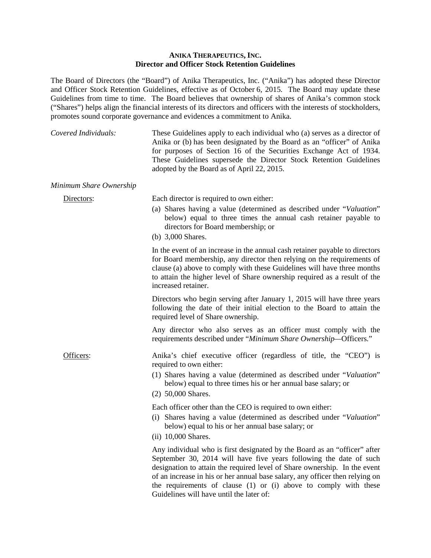## **ANIKA THERAPEUTICS, INC. Director and Officer Stock Retention Guidelines**

The Board of Directors (the "Board") of Anika Therapeutics, Inc. ("Anika") has adopted these Director and Officer Stock Retention Guidelines, effective as of October 6, 2015. The Board may update these Guidelines from time to time. The Board believes that ownership of shares of Anika's common stock ("Shares") helps align the financial interests of its directors and officers with the interests of stockholders, promotes sound corporate governance and evidences a commitment to Anika.

| Covered Individuals:    | These Guidelines apply to each individual who (a) serves as a director of<br>Anika or (b) has been designated by the Board as an "officer" of Anika<br>for purposes of Section 16 of the Securities Exchange Act of 1934.<br>These Guidelines supersede the Director Stock Retention Guidelines<br>adopted by the Board as of April 22, 2015. |
|-------------------------|-----------------------------------------------------------------------------------------------------------------------------------------------------------------------------------------------------------------------------------------------------------------------------------------------------------------------------------------------|
| Minimum Share Ownership |                                                                                                                                                                                                                                                                                                                                               |
| Directors:              | Each director is required to own either:<br>(a) Shares having a value (determined as described under "Valuation"<br>below) equal to three times the annual cash retainer payable to<br>directors for Board membership; or                                                                                                                     |
|                         | (b) 3,000 Shares.                                                                                                                                                                                                                                                                                                                             |
|                         | In the event of an increase in the annual cash retainer payable to directors<br>for Roard mambarship, any director than ralying on the requirements of                                                                                                                                                                                        |

for Board membership, any director then relying on the requirements of clause (a) above to comply with these Guidelines will have three months to attain the higher level of Share ownership required as a result of the increased retainer.

Directors who begin serving after January 1, 2015 will have three years following the date of their initial election to the Board to attain the required level of Share ownership.

Any director who also serves as an officer must comply with the requirements described under "*Minimum Share Ownership—*Officers*.*"

Officers: Anika's chief executive officer (regardless of title, the "CEO") is required to own either:

- (1) Shares having a value (determined as described under "*Valuation*" below) equal to three times his or her annual base salary; or
- (2) 50,000 Shares.

Each officer other than the CEO is required to own either:

- (i) Shares having a value (determined as described under "*Valuation*" below) equal to his or her annual base salary; or
- (ii) 10,000 Shares.

Any individual who is first designated by the Board as an "officer" after September 30, 2014 will have five years following the date of such designation to attain the required level of Share ownership. In the event of an increase in his or her annual base salary, any officer then relying on the requirements of clause (1) or (i) above to comply with these Guidelines will have until the later of: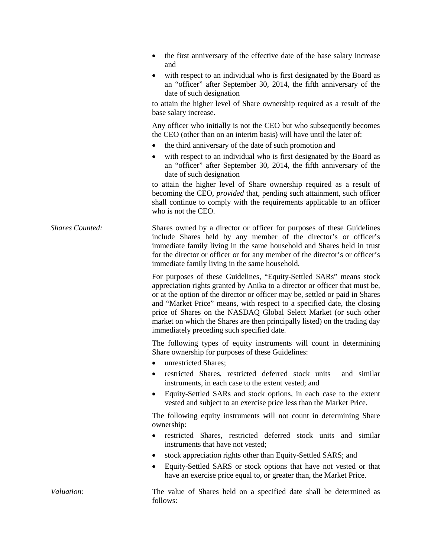- the first anniversary of the effective date of the base salary increase and
- with respect to an individual who is first designated by the Board as an "officer" after September 30, 2014, the fifth anniversary of the date of such designation

to attain the higher level of Share ownership required as a result of the base salary increase.

Any officer who initially is not the CEO but who subsequently becomes the CEO (other than on an interim basis) will have until the later of:

- the third anniversary of the date of such promotion and
- with respect to an individual who is first designated by the Board as an "officer" after September 30, 2014, the fifth anniversary of the date of such designation

to attain the higher level of Share ownership required as a result of becoming the CEO, *provided* that, pending such attainment, such officer shall continue to comply with the requirements applicable to an officer who is not the CEO.

*Shares Counted:* Shares owned by a director or officer for purposes of these Guidelines include Shares held by any member of the director's or officer's immediate family living in the same household and Shares held in trust for the director or officer or for any member of the director's or officer's immediate family living in the same household.

> For purposes of these Guidelines, "Equity-Settled SARs" means stock appreciation rights granted by Anika to a director or officer that must be, or at the option of the director or officer may be, settled or paid in Shares and "Market Price" means, with respect to a specified date, the closing price of Shares on the NASDAQ Global Select Market (or such other market on which the Shares are then principally listed) on the trading day immediately preceding such specified date.

> The following types of equity instruments will count in determining Share ownership for purposes of these Guidelines:

- unrestricted Shares:
- restricted Shares, restricted deferred stock units and similar instruments, in each case to the extent vested; and
- Equity-Settled SARs and stock options, in each case to the extent vested and subject to an exercise price less than the Market Price.

The following equity instruments will not count in determining Share ownership:

- restricted Shares, restricted deferred stock units and similar instruments that have not vested;
- stock appreciation rights other than Equity-Settled SARS; and
- Equity-Settled SARS or stock options that have not vested or that have an exercise price equal to, or greater than, the Market Price.

*Valuation:* The value of Shares held on a specified date shall be determined as follows: